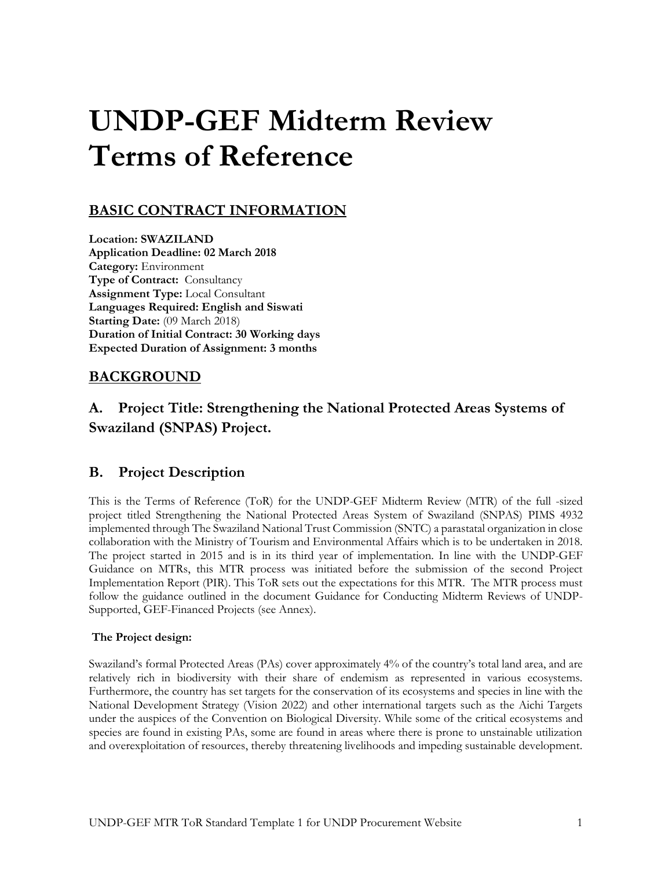# **UNDP-GEF Midterm Review Terms of Reference**

# **BASIC CONTRACT INFORMATION**

**Location: SWAZILAND Application Deadline: 02 March 2018 Category:** Environment **Type of Contract:** Consultancy **Assignment Type:** Local Consultant **Languages Required: English and Siswati Starting Date:** (09 March 2018) **Duration of Initial Contract: 30 Working days Expected Duration of Assignment: 3 months**

## **BACKGROUND**

## **A. Project Title: Strengthening the National Protected Areas Systems of Swaziland (SNPAS) Project.**

## **B. Project Description**

This is the Terms of Reference (ToR) for the UNDP-GEF Midterm Review (MTR) of the full -sized project titled Strengthening the National Protected Areas System of Swaziland (SNPAS) PIMS 4932 implemented through The Swaziland National Trust Commission (SNTC) a parastatal organization in close collaboration with the Ministry of Tourism and Environmental Affairs which is to be undertaken in 2018. The project started in 2015 and is in its third year of implementation. In line with the UNDP-GEF Guidance on MTRs, this MTR process was initiated before the submission of the second Project Implementation Report (PIR). This ToR sets out the expectations for this MTR. The MTR process must follow the guidance outlined in the document Guidance for Conducting Midterm Reviews of UNDP-Supported, GEF-Financed Projects (see Annex).

#### **The Project design:**

Swaziland's formal Protected Areas (PAs) cover approximately 4% of the country's total land area, and are relatively rich in biodiversity with their share of endemism as represented in various ecosystems. Furthermore, the country has set targets for the conservation of its ecosystems and species in line with the National Development Strategy (Vision 2022) and other international targets such as the Aichi Targets under the auspices of the Convention on Biological Diversity. While some of the critical ecosystems and species are found in existing PAs, some are found in areas where there is prone to unstainable utilization and overexploitation of resources, thereby threatening livelihoods and impeding sustainable development.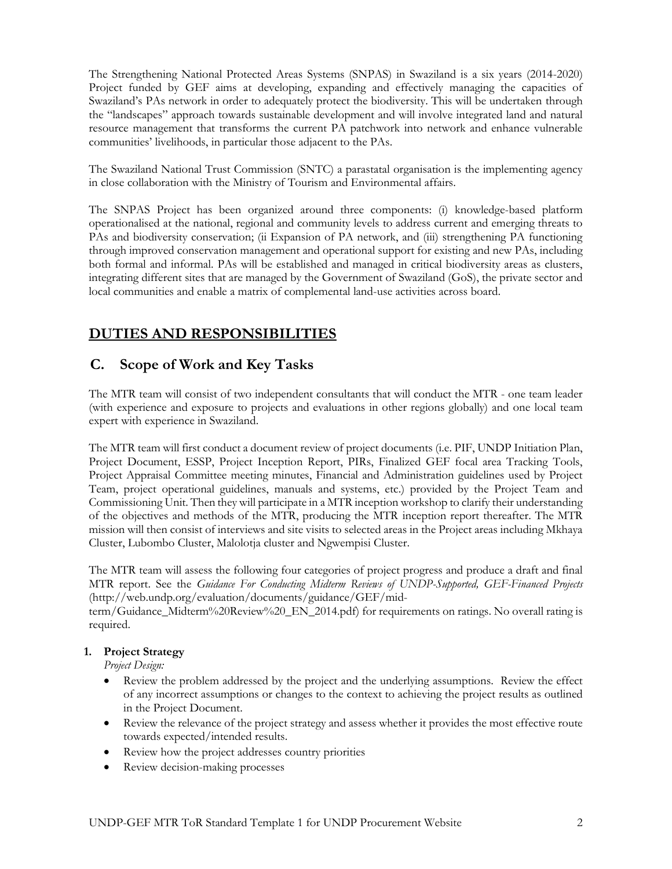The Strengthening National Protected Areas Systems (SNPAS) in Swaziland is a six years (2014-2020) Project funded by GEF aims at developing, expanding and effectively managing the capacities of Swaziland's PAs network in order to adequately protect the biodiversity. This will be undertaken through the "landscapes" approach towards sustainable development and will involve integrated land and natural resource management that transforms the current PA patchwork into network and enhance vulnerable communities' livelihoods, in particular those adjacent to the PAs.

The Swaziland National Trust Commission (SNTC) a parastatal organisation is the implementing agency in close collaboration with the Ministry of Tourism and Environmental affairs.

The SNPAS Project has been organized around three components: (i) knowledge-based platform operationalised at the national, regional and community levels to address current and emerging threats to PAs and biodiversity conservation; (ii Expansion of PA network, and (iii) strengthening PA functioning through improved conservation management and operational support for existing and new PAs, including both formal and informal. PAs will be established and managed in critical biodiversity areas as clusters, integrating different sites that are managed by the Government of Swaziland (GoS), the private sector and local communities and enable a matrix of complemental land-use activities across board.

# **DUTIES AND RESPONSIBILITIES**

## **C. Scope of Work and Key Tasks**

The MTR team will consist of two independent consultants that will conduct the MTR - one team leader (with experience and exposure to projects and evaluations in other regions globally) and one local team expert with experience in Swaziland.

The MTR team will first conduct a document review of project documents (i.e. PIF, UNDP Initiation Plan, Project Document, ESSP, Project Inception Report, PIRs, Finalized GEF focal area Tracking Tools, Project Appraisal Committee meeting minutes, Financial and Administration guidelines used by Project Team, project operational guidelines, manuals and systems, etc.) provided by the Project Team and Commissioning Unit. Then they will participate in a MTR inception workshop to clarify their understanding of the objectives and methods of the MTR, producing the MTR inception report thereafter. The MTR mission will then consist of interviews and site visits to selected areas in the Project areas including Mkhaya Cluster, Lubombo Cluster, Malolotja cluster and Ngwempisi Cluster.

The MTR team will assess the following four categories of project progress and produce a draft and final MTR report. See the *Guidance For Conducting Midterm Reviews of UNDP-Supported, GEF-Financed Projects* (http://web.undp.org/evaluation/documents/guidance/GEF/mid-

term/Guidance\_Midterm%20Review%20\_EN\_2014.pdf) for requirements on ratings. No overall rating is required.

### **1. Project Strategy**

*Project Design:* 

- Review the problem addressed by the project and the underlying assumptions. Review the effect of any incorrect assumptions or changes to the context to achieving the project results as outlined in the Project Document.
- Review the relevance of the project strategy and assess whether it provides the most effective route towards expected/intended results.
- Review how the project addresses country priorities
- Review decision-making processes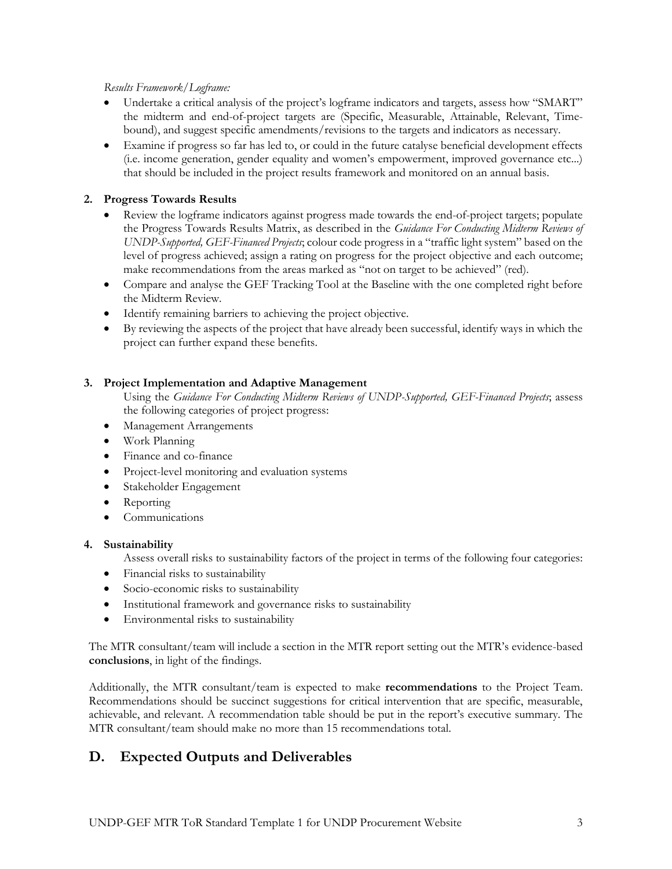#### *Results Framework/Logframe:*

- Undertake a critical analysis of the project's logframe indicators and targets, assess how "SMART" the midterm and end-of-project targets are (Specific, Measurable, Attainable, Relevant, Timebound), and suggest specific amendments/revisions to the targets and indicators as necessary.
- Examine if progress so far has led to, or could in the future catalyse beneficial development effects (i.e. income generation, gender equality and women's empowerment, improved governance etc...) that should be included in the project results framework and monitored on an annual basis.

#### **2. Progress Towards Results**

- Review the logframe indicators against progress made towards the end-of-project targets; populate the Progress Towards Results Matrix, as described in the *Guidance For Conducting Midterm Reviews of UNDP-Supported, GEF-Financed Projects*; colour code progress in a "traffic light system" based on the level of progress achieved; assign a rating on progress for the project objective and each outcome; make recommendations from the areas marked as "not on target to be achieved" (red).
- Compare and analyse the GEF Tracking Tool at the Baseline with the one completed right before the Midterm Review.
- Identify remaining barriers to achieving the project objective.
- By reviewing the aspects of the project that have already been successful, identify ways in which the project can further expand these benefits.

#### **3. Project Implementation and Adaptive Management**

- Using the *Guidance For Conducting Midterm Reviews of UNDP-Supported, GEF-Financed Projects*; assess the following categories of project progress:
- Management Arrangements
- Work Planning
- Finance and co-finance
- Project-level monitoring and evaluation systems
- Stakeholder Engagement
- Reporting
- **Communications**

#### **4. Sustainability**

Assess overall risks to sustainability factors of the project in terms of the following four categories:

- Financial risks to sustainability
- Socio-economic risks to sustainability
- Institutional framework and governance risks to sustainability
- Environmental risks to sustainability

The MTR consultant/team will include a section in the MTR report setting out the MTR's evidence-based **conclusions**, in light of the findings.

Additionally, the MTR consultant/team is expected to make **recommendations** to the Project Team. Recommendations should be succinct suggestions for critical intervention that are specific, measurable, achievable, and relevant. A recommendation table should be put in the report's executive summary. The MTR consultant/team should make no more than 15 recommendations total.

## **D. Expected Outputs and Deliverables**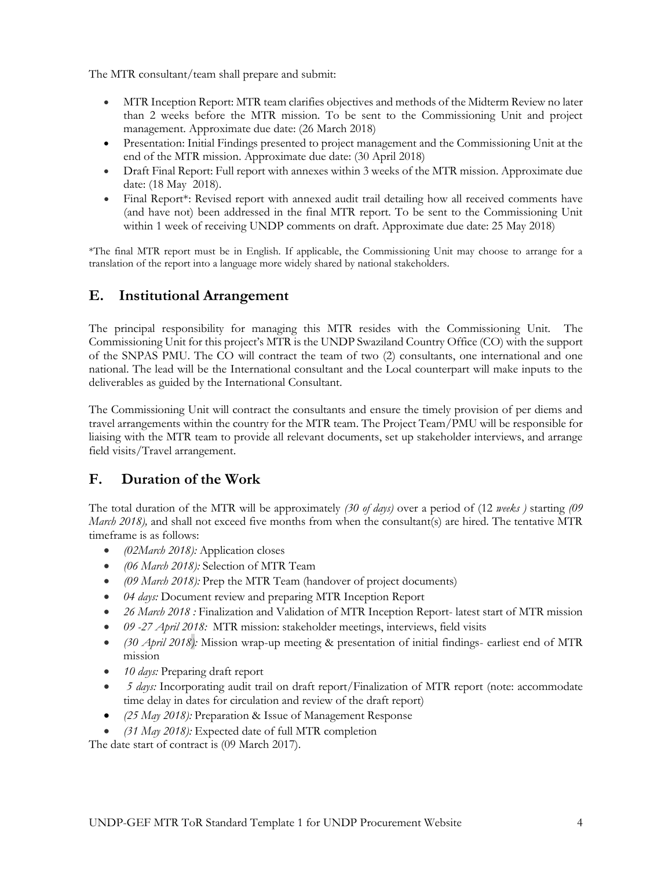The MTR consultant/team shall prepare and submit:

- MTR Inception Report: MTR team clarifies objectives and methods of the Midterm Review no later than 2 weeks before the MTR mission. To be sent to the Commissioning Unit and project management. Approximate due date: (26 March 2018)
- Presentation: Initial Findings presented to project management and the Commissioning Unit at the end of the MTR mission. Approximate due date: (30 April 2018)
- Draft Final Report: Full report with annexes within 3 weeks of the MTR mission. Approximate due date: (18 May 2018).
- Final Report\*: Revised report with annexed audit trail detailing how all received comments have (and have not) been addressed in the final MTR report. To be sent to the Commissioning Unit within 1 week of receiving UNDP comments on draft. Approximate due date: 25 May 2018)

\*The final MTR report must be in English. If applicable, the Commissioning Unit may choose to arrange for a translation of the report into a language more widely shared by national stakeholders.

## **E. Institutional Arrangement**

The principal responsibility for managing this MTR resides with the Commissioning Unit. The Commissioning Unit for this project's MTR is the UNDP Swaziland Country Office (CO) with the support of the SNPAS PMU. The CO will contract the team of two (2) consultants, one international and one national. The lead will be the International consultant and the Local counterpart will make inputs to the deliverables as guided by the International Consultant.

The Commissioning Unit will contract the consultants and ensure the timely provision of per diems and travel arrangements within the country for the MTR team. The Project Team/PMU will be responsible for liaising with the MTR team to provide all relevant documents, set up stakeholder interviews, and arrange field visits/Travel arrangement.

## **F. Duration of the Work**

The total duration of the MTR will be approximately *(30 of days)* over a period of (12 *weeks )* starting *(09 March 2018*), and shall not exceed five months from when the consultant(s) are hired. The tentative MTR timeframe is as follows:

- *(02March 2018):* Application closes
- *(06 March 2018):* Selection of MTR Team
- *(09 March 2018):* Prep the MTR Team (handover of project documents)
- *04 days:* Document review and preparing MTR Inception Report
- *26 March 2018* : Finalization and Validation of MTR Inception Report- latest start of MTR mission
- *09 -27 April 2018:* MTR mission: stakeholder meetings, interviews, field visits
- *(30 April 2018):* Mission wrap-up meeting & presentation of initial findings- earliest end of MTR mission
- *10 days:* Preparing draft report
- *5 days:* Incorporating audit trail on draft report/Finalization of MTR report (note: accommodate time delay in dates for circulation and review of the draft report)
- *(25 May 2018):* Preparation & Issue of Management Response
- *(31 May 2018):* Expected date of full MTR completion

The date start of contract is (09 March 2017).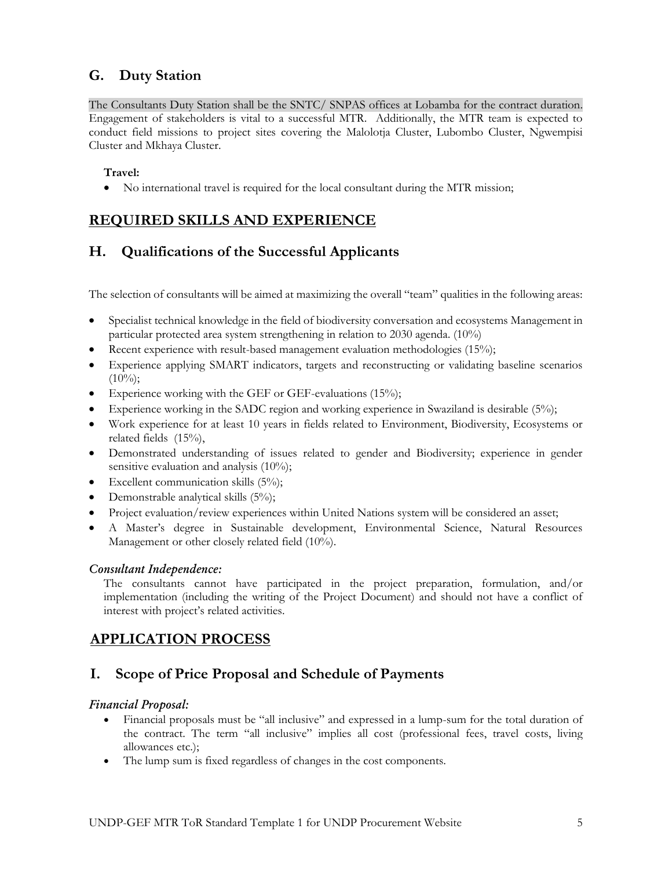## **G. Duty Station**

The Consultants Duty Station shall be the SNTC/ SNPAS offices at Lobamba for the contract duration. Engagement of stakeholders is vital to a successful MTR. Additionally, the MTR team is expected to conduct field missions to project sites covering the Malolotja Cluster, Lubombo Cluster, Ngwempisi Cluster and Mkhaya Cluster.

## **Travel:**

• No international travel is required for the local consultant during the MTR mission;

# **REQUIRED SKILLS AND EXPERIENCE**

## **H. Qualifications of the Successful Applicants**

The selection of consultants will be aimed at maximizing the overall "team" qualities in the following areas:

- Specialist technical knowledge in the field of biodiversity conversation and ecosystems Management in particular protected area system strengthening in relation to 2030 agenda. (10%)
- Recent experience with result-based management evaluation methodologies (15%);
- Experience applying SMART indicators, targets and reconstructing or validating baseline scenarios  $(10\%)$ ;
- Experience working with the GEF or GEF-evaluations (15%);
- Experience working in the SADC region and working experience in Swaziland is desirable (5%);
- Work experience for at least 10 years in fields related to Environment, Biodiversity, Ecosystems or related fields (15%),
- Demonstrated understanding of issues related to gender and Biodiversity; experience in gender sensitive evaluation and analysis (10%);
- Excellent communication skills (5%);
- Demonstrable analytical skills (5%);
- Project evaluation/review experiences within United Nations system will be considered an asset;
- A Master's degree in Sustainable development, Environmental Science, Natural Resources Management or other closely related field (10%).

#### *Consultant Independence:*

The consultants cannot have participated in the project preparation, formulation, and/or implementation (including the writing of the Project Document) and should not have a conflict of interest with project's related activities.

## **APPLICATION PROCESS**

## **I. Scope of Price Proposal and Schedule of Payments**

#### *Financial Proposal:*

- Financial proposals must be "all inclusive" and expressed in a lump-sum for the total duration of the contract. The term "all inclusive" implies all cost (professional fees, travel costs, living allowances etc.);
- The lump sum is fixed regardless of changes in the cost components.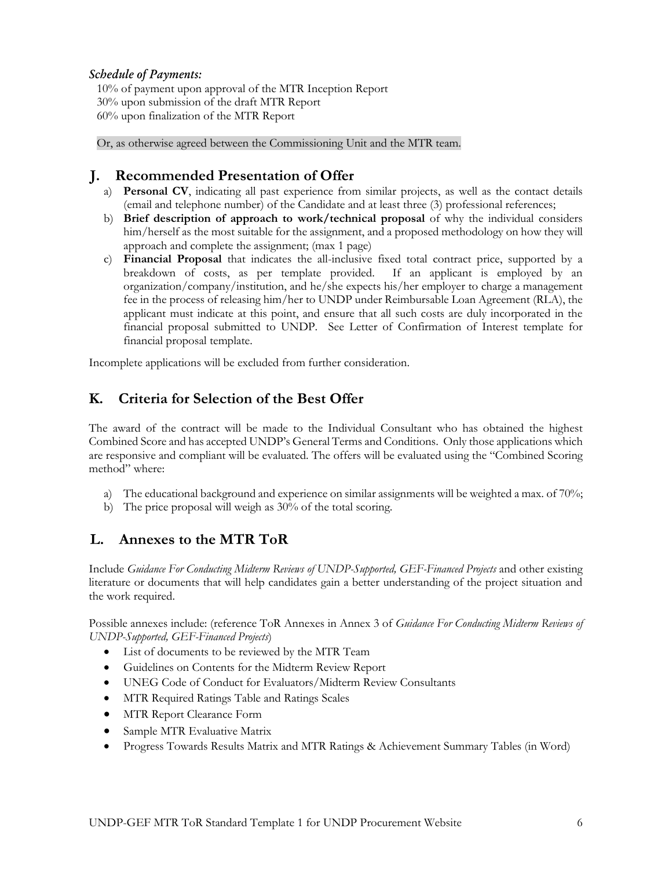#### *Schedule of Payments:*

10% of payment upon approval of the MTR Inception Report 30% upon submission of the draft MTR Report 60% upon finalization of the MTR Report

Or, as otherwise agreed between the Commissioning Unit and the MTR team.

## **J. Recommended Presentation of Offer**

- a) **Personal CV**, indicating all past experience from similar projects, as well as the contact details (email and telephone number) of the Candidate and at least three (3) professional references;
- b) **Brief description of approach to work/technical proposal** of why the individual considers him/herself as the most suitable for the assignment, and a proposed methodology on how they will approach and complete the assignment; (max 1 page)
- c) **Financial Proposal** that indicates the all-inclusive fixed total contract price, supported by a breakdown of costs, as per template provided. If an applicant is employed by an organization/company/institution, and he/she expects his/her employer to charge a management fee in the process of releasing him/her to UNDP under Reimbursable Loan Agreement (RLA), the applicant must indicate at this point, and ensure that all such costs are duly incorporated in the financial proposal submitted to UNDP. See Letter of Confirmation of Interest template for financial proposal template.

Incomplete applications will be excluded from further consideration.

## **K. Criteria for Selection of the Best Offer**

The award of the contract will be made to the Individual Consultant who has obtained the highest Combined Score and has accepted UNDP's General Terms and Conditions. Only those applications which are responsive and compliant will be evaluated. The offers will be evaluated using the "Combined Scoring method" where:

- a) The educational background and experience on similar assignments will be weighted a max. of  $70\%$ ;
- b) The price proposal will weigh as 30% of the total scoring.

## **L. Annexes to the MTR ToR**

Include *Guidance For Conducting Midterm Reviews of UNDP-Supported, GEF-Financed Projects* and other existing literature or documents that will help candidates gain a better understanding of the project situation and the work required.

Possible annexes include: (reference ToR Annexes in Annex 3 of *Guidance For Conducting Midterm Reviews of UNDP-Supported, GEF-Financed Projects*)

- List of documents to be reviewed by the MTR Team
- Guidelines on Contents for the Midterm Review Report
- UNEG Code of Conduct for Evaluators/Midterm Review Consultants
- MTR Required Ratings Table and Ratings Scales
- MTR Report Clearance Form
- Sample MTR Evaluative Matrix
- Progress Towards Results Matrix and MTR Ratings & Achievement Summary Tables (in Word)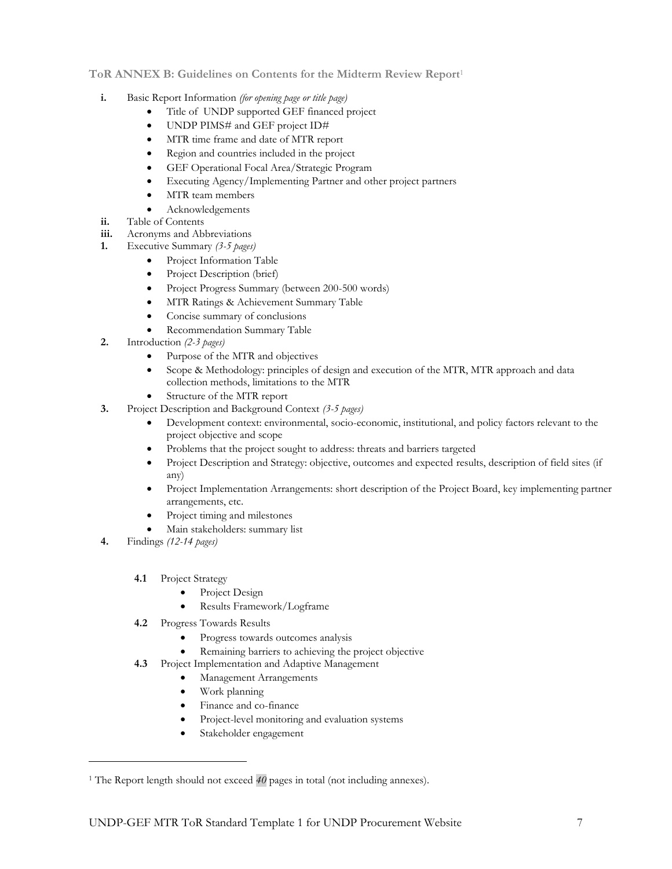#### **ToR ANNEX B: Guidelines on Contents for the Midterm Review Report**<sup>1</sup>

- **i.** Basic Report Information *(for opening page or title page)*
	- Title of UNDP supported GEF financed project
	- UNDP PIMS# and GEF project ID#
	- MTR time frame and date of MTR report
	- Region and countries included in the project
	- GEF Operational Focal Area/Strategic Program
	- Executing Agency/Implementing Partner and other project partners
	- MTR team members
	- Acknowledgements
- **ii.** Table of Contents
- **iii.** Acronyms and Abbreviations
- **1.** Executive Summary *(3-5 pages)*
	- Project Information Table
	- Project Description (brief)
	- Project Progress Summary (between 200-500 words)
	- MTR Ratings & Achievement Summary Table
	- Concise summary of conclusions
	- Recommendation Summary Table
- **2.** Introduction *(2-3 pages)*
	- Purpose of the MTR and objectives
	- Scope & Methodology: principles of design and execution of the MTR, MTR approach and data collection methods, limitations to the MTR
	- Structure of the MTR report
- **3.** Project Description and Background Context *(3-5 pages)*
	- Development context: environmental, socio-economic, institutional, and policy factors relevant to the project objective and scope
	- Problems that the project sought to address: threats and barriers targeted
	- Project Description and Strategy: objective, outcomes and expected results, description of field sites (if any)
	- Project Implementation Arrangements: short description of the Project Board, key implementing partner arrangements, etc.
	- Project timing and milestones
	- Main stakeholders: summary list
- **4.** Findings *(12-14 pages)*

 $\overline{\phantom{a}}$ 

- **4.1** Project Strategy
	- Project Design
	- Results Framework/Logframe
- **4.2** Progress Towards Results
	- Progress towards outcomes analysis
	- Remaining barriers to achieving the project objective
- **4.3** Project Implementation and Adaptive Management
	- Management Arrangements
	- Work planning
	- Finance and co-finance
	- Project-level monitoring and evaluation systems
	- Stakeholder engagement

<sup>&</sup>lt;sup>1</sup> The Report length should not exceed 40 pages in total (not including annexes).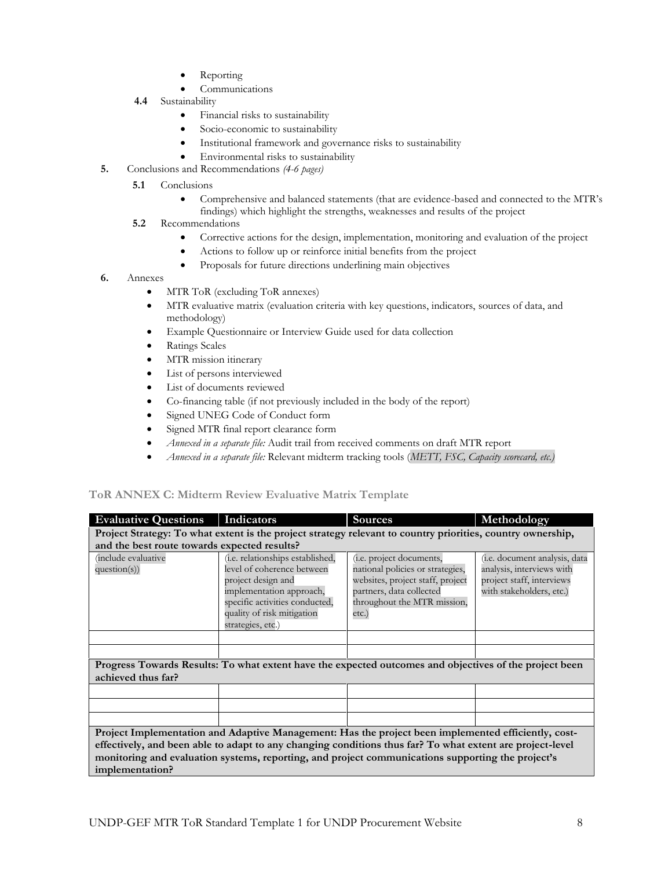- **Reporting**
- **Communications**
- **4.4** Sustainability
	- Financial risks to sustainability
	- Socio-economic to sustainability
	- Institutional framework and governance risks to sustainability
	- Environmental risks to sustainability
- **5.** Conclusions and Recommendations *(4-6 pages)*
	- **5.1 Conclusions** 
		- Comprehensive and balanced statements (that are evidence-based and connected to the MTR's findings) which highlight the strengths, weaknesses and results of the project
	- **5.2** Recommendations
		- Corrective actions for the design, implementation, monitoring and evaluation of the project
		- Actions to follow up or reinforce initial benefits from the project
		- Proposals for future directions underlining main objectives
- **6.** Annexes
	- MTR ToR (excluding ToR annexes)
	- MTR evaluative matrix (evaluation criteria with key questions, indicators, sources of data, and methodology)
	- Example Questionnaire or Interview Guide used for data collection
	- Ratings Scales
	- MTR mission itinerary
	- List of persons interviewed
	- List of documents reviewed
	- Co-financing table (if not previously included in the body of the report)
	- Signed UNEG Code of Conduct form
	- Signed MTR final report clearance form
	- *Annexed in a separate file:* Audit trail from received comments on draft MTR report
	- *Annexed in a separate file:* Relevant midterm tracking tools (*METT, FSC, Capacity scorecard, etc.)*

#### **ToR ANNEX C: Midterm Review Evaluative Matrix Template**

| <b>Evaluative Questions</b>                                                                                                                                                                                                                                                                                                              | Indicators                                                                                                                                                                                                    | <b>Sources</b>                                                                                                                                                          | Methodology                                                                                                                 |  |  |
|------------------------------------------------------------------------------------------------------------------------------------------------------------------------------------------------------------------------------------------------------------------------------------------------------------------------------------------|---------------------------------------------------------------------------------------------------------------------------------------------------------------------------------------------------------------|-------------------------------------------------------------------------------------------------------------------------------------------------------------------------|-----------------------------------------------------------------------------------------------------------------------------|--|--|
| Project Strategy: To what extent is the project strategy relevant to country priorities, country ownership,                                                                                                                                                                                                                              |                                                                                                                                                                                                               |                                                                                                                                                                         |                                                                                                                             |  |  |
| and the best route towards expected results?                                                                                                                                                                                                                                                                                             |                                                                                                                                                                                                               |                                                                                                                                                                         |                                                                                                                             |  |  |
| include evaluative<br>question(s)                                                                                                                                                                                                                                                                                                        | ( <i>i.e.</i> relationships established,<br>level of coherence between<br>project design and<br>implementation approach,<br>specific activities conducted,<br>quality of risk mitigation<br>strategies, etc.) | (i.e. project documents,<br>national policies or strategies,<br>websites, project staff, project<br>partners, data collected<br>throughout the MTR mission,<br>$etc.$ ) | ( <i>i.e.</i> document analysis, data<br>analysis, interviews with<br>project staff, interviews<br>with stakeholders, etc.) |  |  |
|                                                                                                                                                                                                                                                                                                                                          |                                                                                                                                                                                                               |                                                                                                                                                                         |                                                                                                                             |  |  |
|                                                                                                                                                                                                                                                                                                                                          |                                                                                                                                                                                                               |                                                                                                                                                                         |                                                                                                                             |  |  |
| achieved thus far?                                                                                                                                                                                                                                                                                                                       | Progress Towards Results: To what extent have the expected outcomes and objectives of the project been                                                                                                        |                                                                                                                                                                         |                                                                                                                             |  |  |
|                                                                                                                                                                                                                                                                                                                                          |                                                                                                                                                                                                               |                                                                                                                                                                         |                                                                                                                             |  |  |
|                                                                                                                                                                                                                                                                                                                                          |                                                                                                                                                                                                               |                                                                                                                                                                         |                                                                                                                             |  |  |
|                                                                                                                                                                                                                                                                                                                                          |                                                                                                                                                                                                               |                                                                                                                                                                         |                                                                                                                             |  |  |
| Project Implementation and Adaptive Management: Has the project been implemented efficiently, cost-<br>effectively, and been able to adapt to any changing conditions thus far? To what extent are project-level<br>monitoring and evaluation systems, reporting, and project communications supporting the project's<br>implementation? |                                                                                                                                                                                                               |                                                                                                                                                                         |                                                                                                                             |  |  |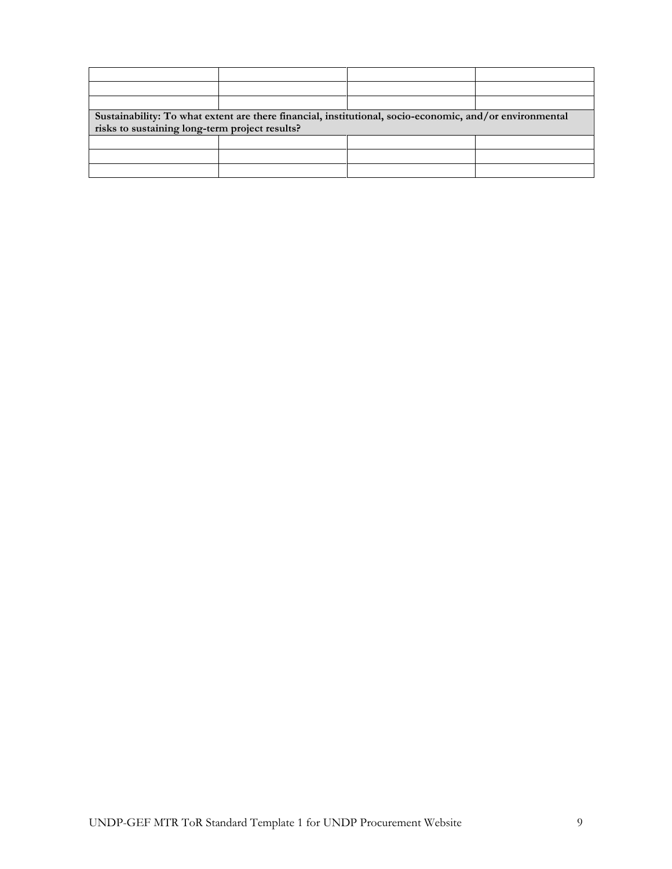| Sustainability: To what extent are there financial, institutional, socio-economic, and/or environmental<br>risks to sustaining long-term project results? |  |  |  |  |
|-----------------------------------------------------------------------------------------------------------------------------------------------------------|--|--|--|--|
|                                                                                                                                                           |  |  |  |  |
|                                                                                                                                                           |  |  |  |  |
|                                                                                                                                                           |  |  |  |  |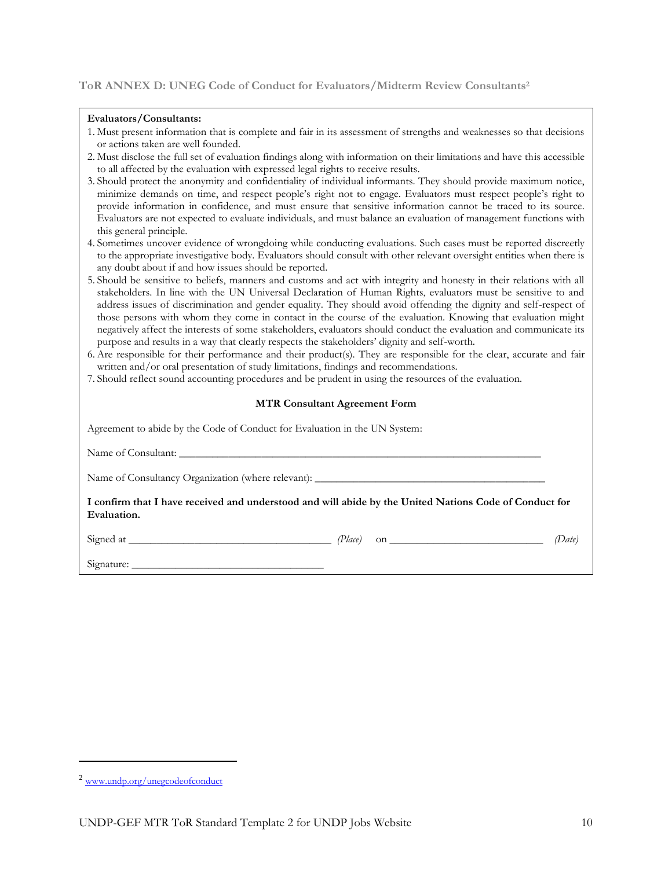#### **ToR ANNEX D: UNEG Code of Conduct for Evaluators/Midterm Review Consultants<sup>2</sup>**

#### **Evaluators/Consultants:**

| 1. Must present information that is complete and fair in its assessment of strengths and weaknesses so that decisions |  |  |
|-----------------------------------------------------------------------------------------------------------------------|--|--|
| or actions taken are well founded.                                                                                    |  |  |

- 2. Must disclose the full set of evaluation findings along with information on their limitations and have this accessible to all affected by the evaluation with expressed legal rights to receive results.
- 3. Should protect the anonymity and confidentiality of individual informants. They should provide maximum notice, minimize demands on time, and respect people's right not to engage. Evaluators must respect people's right to provide information in confidence, and must ensure that sensitive information cannot be traced to its source. Evaluators are not expected to evaluate individuals, and must balance an evaluation of management functions with this general principle.
- 4. Sometimes uncover evidence of wrongdoing while conducting evaluations. Such cases must be reported discreetly to the appropriate investigative body. Evaluators should consult with other relevant oversight entities when there is any doubt about if and how issues should be reported.
- 5. Should be sensitive to beliefs, manners and customs and act with integrity and honesty in their relations with all stakeholders. In line with the UN Universal Declaration of Human Rights, evaluators must be sensitive to and address issues of discrimination and gender equality. They should avoid offending the dignity and self-respect of those persons with whom they come in contact in the course of the evaluation. Knowing that evaluation might negatively affect the interests of some stakeholders, evaluators should conduct the evaluation and communicate its purpose and results in a way that clearly respects the stakeholders' dignity and self-worth.
- 6. Are responsible for their performance and their product(s). They are responsible for the clear, accurate and fair written and/or oral presentation of study limitations, findings and recommendations.
- 7. Should reflect sound accounting procedures and be prudent in using the resources of the evaluation.

#### **MTR Consultant Agreement Form**

| Agreement to abide by the Code of Conduct for Evaluation in the UN System:                                            |        |
|-----------------------------------------------------------------------------------------------------------------------|--------|
|                                                                                                                       |        |
|                                                                                                                       |        |
| I confirm that I have received and understood and will abide by the United Nations Code of Conduct for<br>Evaluation. |        |
|                                                                                                                       | (Date) |
|                                                                                                                       |        |

 $\overline{\phantom{a}}$ 

<sup>2</sup> [www.undp.org/unegcodeofconduct](http://www.undp.org/unegcodeofconduct)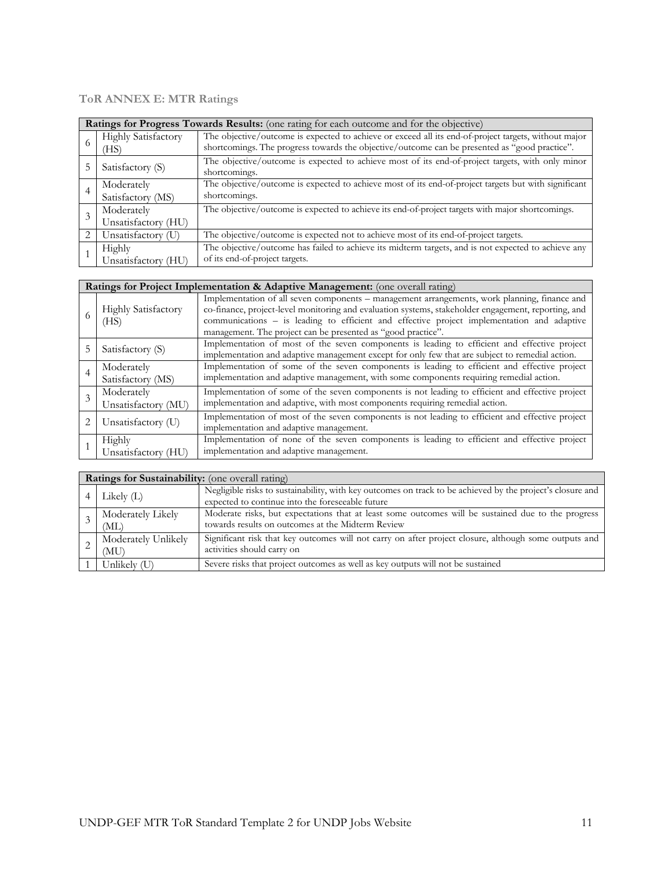## **ToR ANNEX E: MTR Ratings**

|   | Ratings for Progress Towards Results: (one rating for each outcome and for the objective)                                                                                                                                                   |                                                                                                                                       |  |  |
|---|---------------------------------------------------------------------------------------------------------------------------------------------------------------------------------------------------------------------------------------------|---------------------------------------------------------------------------------------------------------------------------------------|--|--|
| 6 | The objective/outcome is expected to achieve or exceed all its end-of-project targets, without major<br><b>Highly Satisfactory</b><br>shortcomings. The progress towards the objective/outcome can be presented as "good practice".<br>(HS) |                                                                                                                                       |  |  |
|   | Satisfactory (S)                                                                                                                                                                                                                            | The objective/outcome is expected to achieve most of its end-of-project targets, with only minor<br>shortcomings.                     |  |  |
| 4 | Moderately<br>Satisfactory (MS)                                                                                                                                                                                                             | The objective/outcome is expected to achieve most of its end-of-project targets but with significant<br>shortcomings.                 |  |  |
| 3 | Moderately<br>Unsatisfactory (HU)                                                                                                                                                                                                           | The objective/outcome is expected to achieve its end-of-project targets with major shortcomings.                                      |  |  |
|   | Unsatisfactory (U)                                                                                                                                                                                                                          | The objective/outcome is expected not to achieve most of its end-of-project targets.                                                  |  |  |
|   | Highly<br>Unsatisfactory (HU)                                                                                                                                                                                                               | The objective/outcome has failed to achieve its midterm targets, and is not expected to achieve any<br>of its end-of-project targets. |  |  |

| Ratings for Project Implementation & Adaptive Management: (one overall rating) |                                                                                                                                                                                                                                                                                                                                                                   |  |  |
|--------------------------------------------------------------------------------|-------------------------------------------------------------------------------------------------------------------------------------------------------------------------------------------------------------------------------------------------------------------------------------------------------------------------------------------------------------------|--|--|
| <b>Highly Satisfactory</b><br>(HS)                                             | Implementation of all seven components – management arrangements, work planning, finance and<br>co-finance, project-level monitoring and evaluation systems, stakeholder engagement, reporting, and<br>communications - is leading to efficient and effective project implementation and adaptive<br>management. The project can be presented as "good practice". |  |  |
| Satisfactory (S)                                                               | Implementation of most of the seven components is leading to efficient and effective project<br>implementation and adaptive management except for only few that are subject to remedial action.                                                                                                                                                                   |  |  |
| Moderately<br>Satisfactory (MS)                                                | Implementation of some of the seven components is leading to efficient and effective project<br>implementation and adaptive management, with some components requiring remedial action.                                                                                                                                                                           |  |  |
| Moderately<br>Unsatisfactory (MU)                                              | Implementation of some of the seven components is not leading to efficient and effective project<br>implementation and adaptive, with most components requiring remedial action.                                                                                                                                                                                  |  |  |
| Unsatisfactory (U)                                                             | Implementation of most of the seven components is not leading to efficient and effective project<br>implementation and adaptive management.                                                                                                                                                                                                                       |  |  |
| Highly<br>Unsatisfactory (HU)                                                  | Implementation of none of the seven components is leading to efficient and effective project<br>implementation and adaptive management.                                                                                                                                                                                                                           |  |  |

| <b>Ratings for Sustainability:</b> (one overall rating) |                                                                                                                                                                |  |  |
|---------------------------------------------------------|----------------------------------------------------------------------------------------------------------------------------------------------------------------|--|--|
| Likely $(L)$                                            | Negligible risks to sustainability, with key outcomes on track to be achieved by the project's closure and<br>expected to continue into the foreseeable future |  |  |
| Moderately Likely<br>(ML)                               | Moderate risks, but expectations that at least some outcomes will be sustained due to the progress<br>towards results on outcomes at the Midterm Review        |  |  |
| Moderately Unlikely<br>(MU)                             | Significant risk that key outcomes will not carry on after project closure, although some outputs and<br>activities should carry on                            |  |  |
| Unlikely (U)                                            | Severe risks that project outcomes as well as key outputs will not be sustained                                                                                |  |  |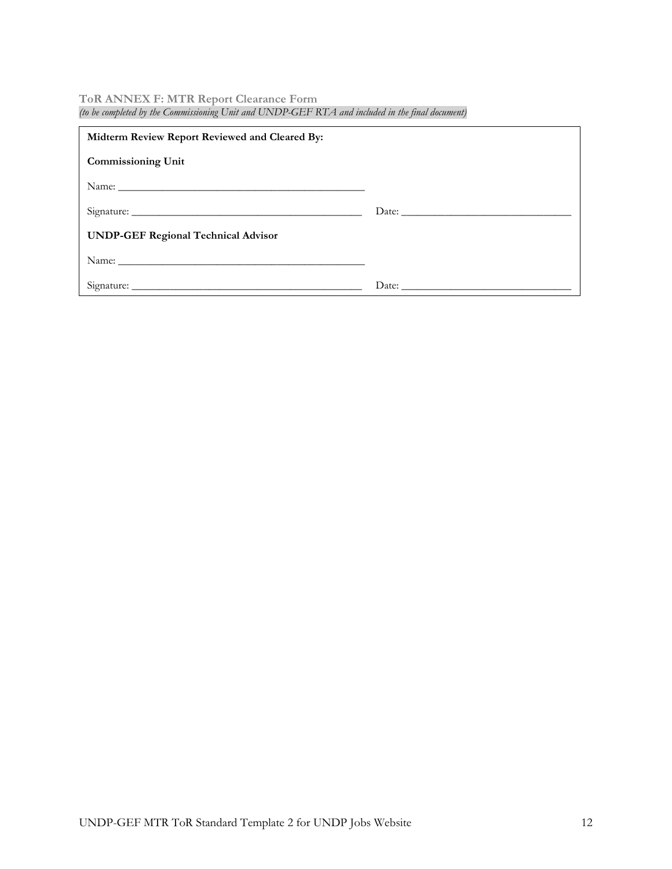#### **ToR ANNEX F: MTR Report Clearance Form** *(to be completed by the Commissioning Unit and UNDP-GEF RTA and included in the final document)*

| Midterm Review Report Reviewed and Cleared By: |  |  |  |  |
|------------------------------------------------|--|--|--|--|
| <b>Commissioning Unit</b>                      |  |  |  |  |
|                                                |  |  |  |  |
|                                                |  |  |  |  |
| <b>UNDP-GEF Regional Technical Advisor</b>     |  |  |  |  |
|                                                |  |  |  |  |
|                                                |  |  |  |  |